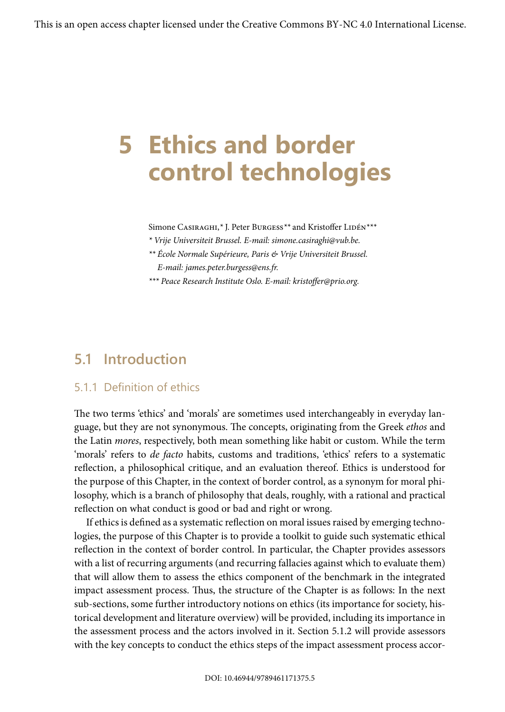# **5 Ethics and border control technologies**

Simone CASIRAGHI,<sup>\*</sup> J. Peter Burgess<sup>\*\*</sup> and Kristoffer LIDÉN<sup>\*\*\*</sup>

- *\* Vrije Universiteit Brussel. E-mail: simone.casiraghi@vub.be.*
- *\*\* École Normale Supérieure, Paris & Vrije Universiteit Brussel. E-mail: james.peter.burgess@ens.fr.*
- *\*\*\* Peace Research Institute Oslo. E-mail: kristoffer@prio.org.*

## **5.1 Introduction**

#### 5.1.1. Definition of ethics

The two terms 'ethics' and 'morals' are sometimes used interchangeably in everyday language, but they are not synonymous. The concepts, originating from the Greek *ethos* and the Latin *mores*, respectively, both mean something like habit or custom. While the term 'morals' refers to *de facto* habits, customs and traditions, 'ethics' refers to a systematic reflection, a philosophical critique, and an evaluation thereof. Ethics is understood for the purpose of this Chapter, in the context of border control, as a synonym for moral philosophy, which is a branch of philosophy that deals, roughly, with a rational and practical reflection on what conduct is good or bad and right or wrong.

If ethics is defined as a systematic reflection on moral issues raised by emerging technologies, the purpose of this Chapter is to provide a toolkit to guide such systematic ethical reflection in the context of border control. In particular, the Chapter provides assessors with a list of recurring arguments (and recurring fallacies against which to evaluate them) that will allow them to assess the ethics component of the benchmark in the integrated impact assessment process. Thus, the structure of the Chapter is as follows: In the next sub-sections, some further introductory notions on ethics (its importance for society, historical development and literature overview) will be provided, including its importance in the assessment process and the actors involved in it. Section 5.1.2 will provide assessors with the key concepts to conduct the ethics steps of the impact assessment process accor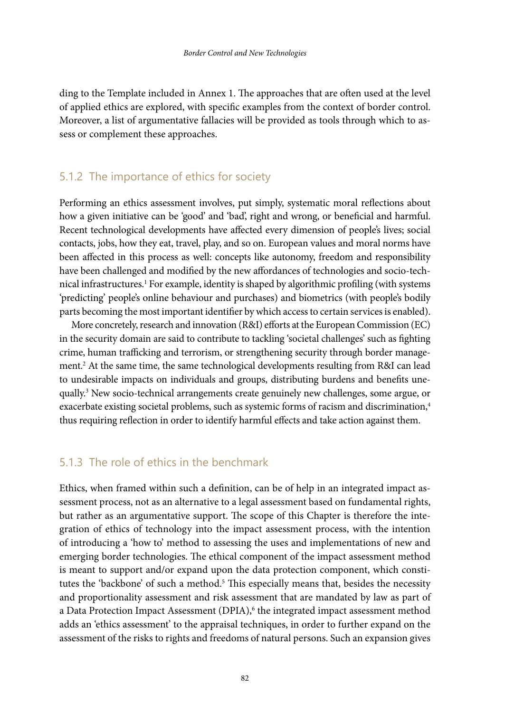ding to the Template included in Annex 1. The approaches that are often used at the level of applied ethics are explored, with specific examples from the context of border control. Moreover, a list of argumentative fallacies will be provided as tools through which to assess or complement these approaches.

#### 5.1.2 The importance of ethics for society

Performing an ethics assessment involves, put simply, systematic moral reflections about how a given initiative can be 'good' and 'bad', right and wrong, or beneficial and harmful. Recent technological developments have affected every dimension of people's lives; social contacts, jobs, how they eat, travel, play, and so on. European values and moral norms have been affected in this process as well: concepts like autonomy, freedom and responsibility have been challenged and modified by the new affordances of technologies and socio-technical infrastructures.<sup>1</sup> For example, identity is shaped by algorithmic profiling (with systems 'predicting' people's online behaviour and purchases) and biometrics (with people's bodily parts becoming the most important identifier by which access to certain services is enabled).

More concretely, research and innovation (R&I) efforts at the European Commission (EC) in the security domain are said to contribute to tackling 'societal challenges' such as fighting crime, human trafficking and terrorism, or strengthening security through border management.2 At the same time, the same technological developments resulting from R&I can lead to undesirable impacts on individuals and groups, distributing burdens and benefits unequally.3 New socio-technical arrangements create genuinely new challenges, some argue, or exacerbate existing societal problems, such as systemic forms of racism and discrimination,<sup>4</sup> thus requiring reflection in order to identify harmful effects and take action against them.

#### 5.1.3 The role of ethics in the benchmark

Ethics, when framed within such a definition, can be of help in an integrated impact assessment process, not as an alternative to a legal assessment based on fundamental rights, but rather as an argumentative support. The scope of this Chapter is therefore the integration of ethics of technology into the impact assessment process, with the intention of introducing a 'how to' method to assessing the uses and implementations of new and emerging border technologies. The ethical component of the impact assessment method is meant to support and/or expand upon the data protection component, which constitutes the 'backbone' of such a method.<sup>5</sup> This especially means that, besides the necessity and proportionality assessment and risk assessment that are mandated by law as part of a Data Protection Impact Assessment (DPIA),<sup>6</sup> the integrated impact assessment method adds an 'ethics assessment' to the appraisal techniques, in order to further expand on the assessment of the risks to rights and freedoms of natural persons. Such an expansion gives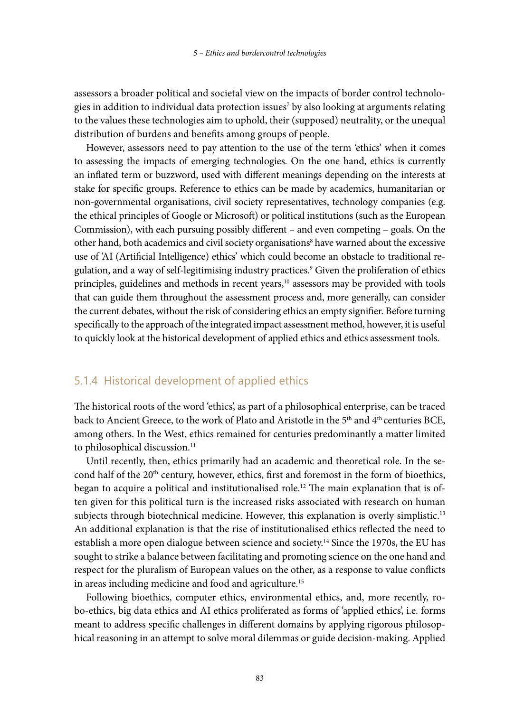assessors a broader political and societal view on the impacts of border control technologies in addition to individual data protection issues<sup>7</sup> by also looking at arguments relating to the values these technologies aim to uphold, their (supposed) neutrality, or the unequal distribution of burdens and benefits among groups of people.

However, assessors need to pay attention to the use of the term 'ethics' when it comes to assessing the impacts of emerging technologies. On the one hand, ethics is currently an inflated term or buzzword, used with different meanings depending on the interests at stake for specific groups. Reference to ethics can be made by academics, humanitarian or non-governmental organisations, civil society representatives, technology companies (e.g. the ethical principles of Google or Microsoft) or political institutions (such as the European Commission), with each pursuing possibly different – and even competing – goals. On the other hand, both academics and civil society organisations<sup>8</sup> have warned about the excessive use of 'AI (Artificial Intelligence) ethics' which could become an obstacle to traditional regulation, and a way of self-legitimising industry practices.9 Given the proliferation of ethics principles, guidelines and methods in recent years,<sup>10</sup> assessors may be provided with tools that can guide them throughout the assessment process and, more generally, can consider the current debates, without the risk of considering ethics an empty signifier. Before turning specifically to the approach of the integrated impact assessment method, however, it is useful to quickly look at the historical development of applied ethics and ethics assessment tools.

#### 5.1.4 Historical development of applied ethics

The historical roots of the word 'ethics', as part of a philosophical enterprise, can be traced back to Ancient Greece, to the work of Plato and Aristotle in the 5<sup>th</sup> and 4<sup>th</sup> centuries BCE, among others. In the West, ethics remained for centuries predominantly a matter limited to philosophical discussion.<sup>11</sup>

Until recently, then, ethics primarily had an academic and theoretical role. In the second half of the 20<sup>th</sup> century, however, ethics, first and foremost in the form of bioethics, began to acquire a political and institutionalised role.12 The main explanation that is often given for this political turn is the increased risks associated with research on human subjects through biotechnical medicine. However, this explanation is overly simplistic.<sup>13</sup> An additional explanation is that the rise of institutionalised ethics reflected the need to establish a more open dialogue between science and society.14 Since the 1970s, the EU has sought to strike a balance between facilitating and promoting science on the one hand and respect for the pluralism of European values on the other, as a response to value conflicts in areas including medicine and food and agriculture.<sup>15</sup>

Following bioethics, computer ethics, environmental ethics, and, more recently, robo-ethics, big data ethics and AI ethics proliferated as forms of 'applied ethics', i.e. forms meant to address specific challenges in different domains by applying rigorous philosophical reasoning in an attempt to solve moral dilemmas or guide decision-making. Applied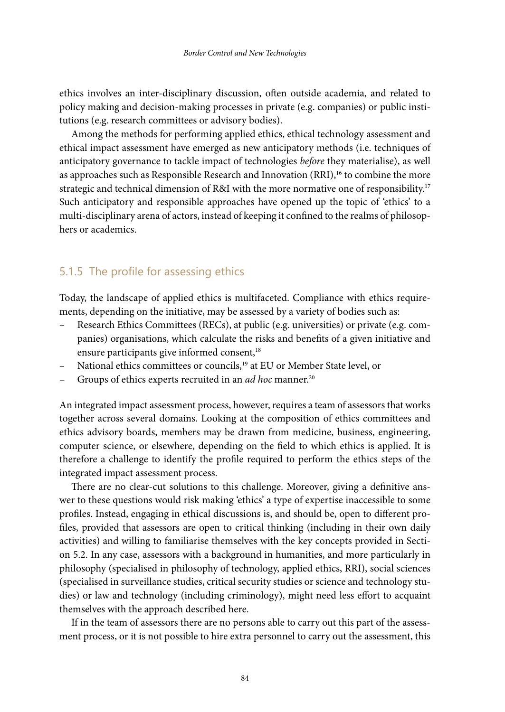ethics involves an inter-disciplinary discussion, often outside academia, and related to policy making and decision-making processes in private (e.g. companies) or public institutions (e.g. research committees or advisory bodies).

Among the methods for performing applied ethics, ethical technology assessment and ethical impact assessment have emerged as new anticipatory methods (i.e. techniques of anticipatory governance to tackle impact of technologies *before* they materialise), as well as approaches such as Responsible Research and Innovation  $(RRI)$ <sup>16</sup> to combine the more strategic and technical dimension of R&I with the more normative one of responsibility.17 Such anticipatory and responsible approaches have opened up the topic of 'ethics' to a multi-disciplinary arena of actors, instead of keeping it confined to the realms of philosophers or academics.

#### 5.1.5 The profile for assessing ethics

Today, the landscape of applied ethics is multifaceted. Compliance with ethics requirements, depending on the initiative, may be assessed by a variety of bodies such as:

- Research Ethics Committees (RECs), at public (e.g. universities) or private (e.g. companies) organisations, which calculate the risks and benefits of a given initiative and ensure participants give informed consent,<sup>18</sup>
- National ethics committees or councils,<sup>19</sup> at EU or Member State level, or
- Groups of ethics experts recruited in an *ad hoc* manner.20

An integrated impact assessment process, however, requires a team of assessors that works together across several domains. Looking at the composition of ethics committees and ethics advisory boards, members may be drawn from medicine, business, engineering, computer science, or elsewhere, depending on the field to which ethics is applied. It is therefore a challenge to identify the profile required to perform the ethics steps of the integrated impact assessment process.

There are no clear-cut solutions to this challenge. Moreover, giving a definitive answer to these questions would risk making 'ethics' a type of expertise inaccessible to some profiles. Instead, engaging in ethical discussions is, and should be, open to different profiles, provided that assessors are open to critical thinking (including in their own daily activities) and willing to familiarise themselves with the key concepts provided in Section 5.2. In any case, assessors with a background in humanities, and more particularly in philosophy (specialised in philosophy of technology, applied ethics, RRI), social sciences (specialised in surveillance studies, critical security studies or science and technology studies) or law and technology (including criminology), might need less effort to acquaint themselves with the approach described here.

If in the team of assessors there are no persons able to carry out this part of the assessment process, or it is not possible to hire extra personnel to carry out the assessment, this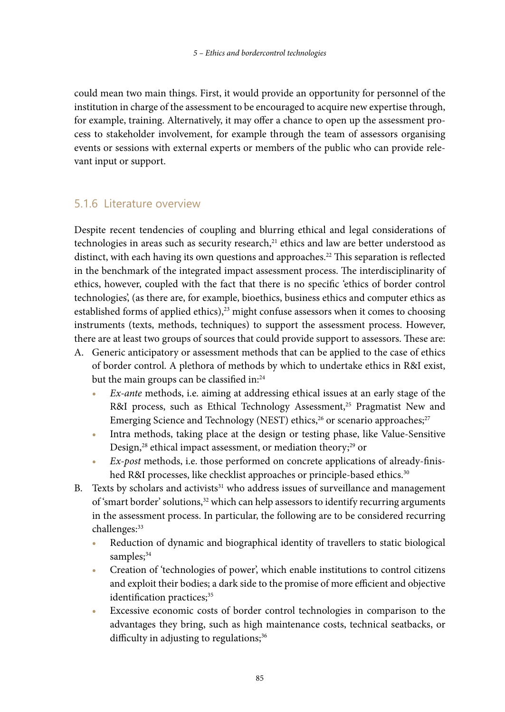could mean two main things. First, it would provide an opportunity for personnel of the institution in charge of the assessment to be encouraged to acquire new expertise through, for example, training. Alternatively, it may offer a chance to open up the assessment process to stakeholder involvement, for example through the team of assessors organising events or sessions with external experts or members of the public who can provide relevant input or support.

### 5.1.6 Literature overview

Despite recent tendencies of coupling and blurring ethical and legal considerations of technologies in areas such as security research,<sup>21</sup> ethics and law are better understood as distinct, with each having its own questions and approaches.22 This separation is reflected in the benchmark of the integrated impact assessment process. The interdisciplinarity of ethics, however, coupled with the fact that there is no specific 'ethics of border control technologies', (as there are, for example, bioethics, business ethics and computer ethics as established forms of applied ethics),<sup>23</sup> might confuse assessors when it comes to choosing instruments (texts, methods, techniques) to support the assessment process. However, there are at least two groups of sources that could provide support to assessors. These are:

- A. Generic anticipatory or assessment methods that can be applied to the case of ethics of border control. A plethora of methods by which to undertake ethics in R&I exist, but the main groups can be classified in:<sup>24</sup>
	- **•** *Ex-ante* methods, i.e. aiming at addressing ethical issues at an early stage of the R&I process, such as Ethical Technology Assessment,<sup>25</sup> Pragmatist New and Emerging Science and Technology (NEST) ethics,<sup>26</sup> or scenario approaches;<sup>27</sup>
	- **•** Intra methods, taking place at the design or testing phase, like Value-Sensitive Design,<sup>28</sup> ethical impact assessment, or mediation theory;<sup>29</sup> or
	- **•** *Ex-post* methods, i.e. those performed on concrete applications of already-finished R&I processes, like checklist approaches or principle-based ethics.<sup>30</sup>
- B. Texts by scholars and activists<sup>31</sup> who address issues of surveillance and management of 'smart border' solutions,<sup>32</sup> which can help assessors to identify recurring arguments in the assessment process. In particular, the following are to be considered recurring challenges:<sup>33</sup>
	- **•** Reduction of dynamic and biographical identity of travellers to static biological samples;<sup>34</sup>
	- **•** Creation of 'technologies of power', which enable institutions to control citizens and exploit their bodies; a dark side to the promise of more efficient and objective identification practices;<sup>35</sup>
	- **•** Excessive economic costs of border control technologies in comparison to the advantages they bring, such as high maintenance costs, technical seatbacks, or difficulty in adjusting to regulations;<sup>36</sup>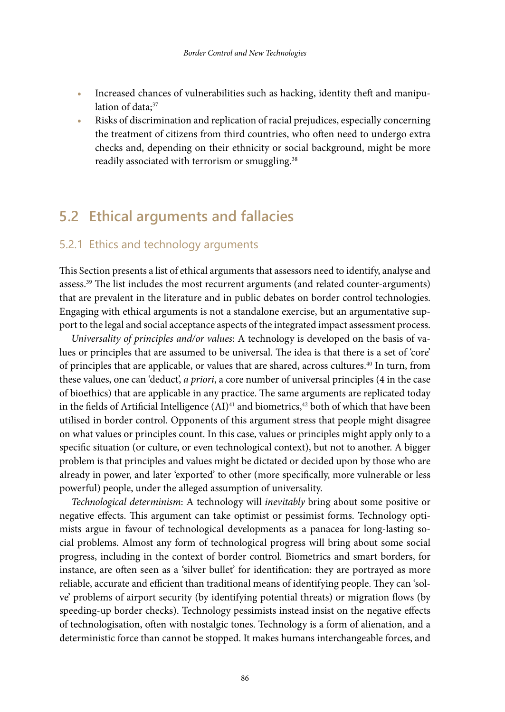- **•** Increased chances of vulnerabilities such as hacking, identity theft and manipulation of data;<sup>37</sup>
- **•** Risks of discrimination and replication of racial prejudices, especially concerning the treatment of citizens from third countries, who often need to undergo extra checks and, depending on their ethnicity or social background, might be more readily associated with terrorism or smuggling.<sup>38</sup>

## **5.2 Ethical arguments and fallacies**

#### 5.2.1 Ethics and technology arguments

This Section presents a list of ethical arguments that assessors need to identify, analyse and assess.39 The list includes the most recurrent arguments (and related counter-arguments) that are prevalent in the literature and in public debates on border control technologies. Engaging with ethical arguments is not a standalone exercise, but an argumentative support to the legal and social acceptance aspects of the integrated impact assessment process.

*Universality of principles and/or values*: A technology is developed on the basis of values or principles that are assumed to be universal. The idea is that there is a set of 'core' of principles that are applicable, or values that are shared, across cultures.40 In turn, from these values, one can 'deduct', *a priori*, a core number of universal principles (4 in the case of bioethics) that are applicable in any practice. The same arguments are replicated today in the fields of Artificial Intelligence  $(AI)^{41}$  and biometrics,<sup>42</sup> both of which that have been utilised in border control. Opponents of this argument stress that people might disagree on what values or principles count. In this case, values or principles might apply only to a specific situation (or culture, or even technological context), but not to another. A bigger problem is that principles and values might be dictated or decided upon by those who are already in power, and later 'exported' to other (more specifically, more vulnerable or less powerful) people, under the alleged assumption of universality.

*Technological determinism*: A technology will *inevitably* bring about some positive or negative effects. This argument can take optimist or pessimist forms. Technology optimists argue in favour of technological developments as a panacea for long-lasting social problems. Almost any form of technological progress will bring about some social progress, including in the context of border control. Biometrics and smart borders, for instance, are often seen as a 'silver bullet' for identification: they are portrayed as more reliable, accurate and efficient than traditional means of identifying people. They can 'solve' problems of airport security (by identifying potential threats) or migration flows (by speeding-up border checks). Technology pessimists instead insist on the negative effects of technologisation, often with nostalgic tones. Technology is a form of alienation, and a deterministic force than cannot be stopped. It makes humans interchangeable forces, and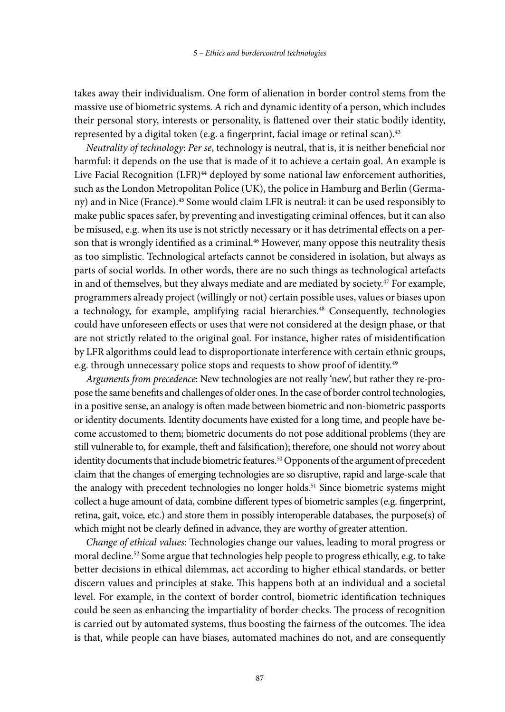takes away their individualism. One form of alienation in border control stems from the massive use of biometric systems. A rich and dynamic identity of a person, which includes their personal story, interests or personality, is flattened over their static bodily identity, represented by a digital token (e.g. a fingerprint, facial image or retinal scan).<sup>43</sup>

*Neutrality of technology*: *Per se*, technology is neutral, that is, it is neither beneficial nor harmful: it depends on the use that is made of it to achieve a certain goal. An example is Live Facial Recognition (LFR)<sup>44</sup> deployed by some national law enforcement authorities, such as the London Metropolitan Police (UK), the police in Hamburg and Berlin (Germany) and in Nice (France).45 Some would claim LFR is neutral: it can be used responsibly to make public spaces safer, by preventing and investigating criminal offences, but it can also be misused, e.g. when its use is not strictly necessary or it has detrimental effects on a person that is wrongly identified as a criminal.<sup>46</sup> However, many oppose this neutrality thesis as too simplistic. Technological artefacts cannot be considered in isolation, but always as parts of social worlds. In other words, there are no such things as technological artefacts in and of themselves, but they always mediate and are mediated by society. $47$  For example, programmers already project (willingly or not) certain possible uses, values or biases upon a technology, for example, amplifying racial hierarchies.<sup>48</sup> Consequently, technologies could have unforeseen effects or uses that were not considered at the design phase, or that are not strictly related to the original goal. For instance, higher rates of misidentification by LFR algorithms could lead to disproportionate interference with certain ethnic groups, e.g. through unnecessary police stops and requests to show proof of identity.<sup>49</sup>

*Arguments from precedence*: New technologies are not really 'new', but rather they re-propose the same benefits and challenges of older ones. In the case of border control technologies, in a positive sense, an analogy is often made between biometric and non-biometric passports or identity documents. Identity documents have existed for a long time, and people have become accustomed to them; biometric documents do not pose additional problems (they are still vulnerable to, for example, theft and falsification); therefore, one should not worry about identity documents that include biometric features.<sup>50</sup> Opponents of the argument of precedent claim that the changes of emerging technologies are so disruptive, rapid and large-scale that the analogy with precedent technologies no longer holds.51 Since biometric systems might collect a huge amount of data, combine different types of biometric samples (e.g. fingerprint, retina, gait, voice, etc.) and store them in possibly interoperable databases, the purpose(s) of which might not be clearly defined in advance, they are worthy of greater attention.

*Change of ethical values*: Technologies change our values, leading to moral progress or moral decline.52 Some argue that technologies help people to progress ethically, e.g. to take better decisions in ethical dilemmas, act according to higher ethical standards, or better discern values and principles at stake. This happens both at an individual and a societal level. For example, in the context of border control, biometric identification techniques could be seen as enhancing the impartiality of border checks. The process of recognition is carried out by automated systems, thus boosting the fairness of the outcomes. The idea is that, while people can have biases, automated machines do not, and are consequently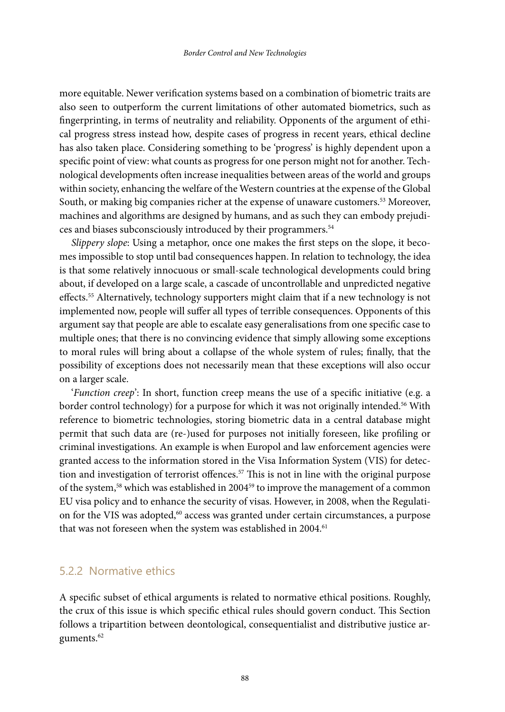more equitable. Newer verification systems based on a combination of biometric traits are also seen to outperform the current limitations of other automated biometrics, such as fingerprinting, in terms of neutrality and reliability. Opponents of the argument of ethical progress stress instead how, despite cases of progress in recent years, ethical decline has also taken place. Considering something to be 'progress' is highly dependent upon a specific point of view: what counts as progress for one person might not for another. Technological developments often increase inequalities between areas of the world and groups within society, enhancing the welfare of the Western countries at the expense of the Global South, or making big companies richer at the expense of unaware customers.53 Moreover, machines and algorithms are designed by humans, and as such they can embody prejudices and biases subconsciously introduced by their programmers.54

*Slippery slope*: Using a metaphor, once one makes the first steps on the slope, it becomes impossible to stop until bad consequences happen. In relation to technology, the idea is that some relatively innocuous or small-scale technological developments could bring about, if developed on a large scale, a cascade of uncontrollable and unpredicted negative effects.55 Alternatively, technology supporters might claim that if a new technology is not implemented now, people will suffer all types of terrible consequences. Opponents of this argument say that people are able to escalate easy generalisations from one specific case to multiple ones; that there is no convincing evidence that simply allowing some exceptions to moral rules will bring about a collapse of the whole system of rules; finally, that the possibility of exceptions does not necessarily mean that these exceptions will also occur on a larger scale.

'*Function creep*': In short, function creep means the use of a specific initiative (e.g. a border control technology) for a purpose for which it was not originally intended.<sup>56</sup> With reference to biometric technologies, storing biometric data in a central database might permit that such data are (re-)used for purposes not initially foreseen, like profiling or criminal investigations. An example is when Europol and law enforcement agencies were granted access to the information stored in the Visa Information System (VIS) for detection and investigation of terrorist offences.<sup>57</sup> This is not in line with the original purpose of the system,<sup>58</sup> which was established in 2004<sup>59</sup> to improve the management of a common EU visa policy and to enhance the security of visas. However, in 2008, when the Regulation for the VIS was adopted,60 access was granted under certain circumstances, a purpose that was not foreseen when the system was established in 2004.<sup>61</sup>

#### 5.2.2 Normative ethics

A specific subset of ethical arguments is related to normative ethical positions. Roughly, the crux of this issue is which specific ethical rules should govern conduct. This Section follows a tripartition between deontological, consequentialist and distributive justice arguments.62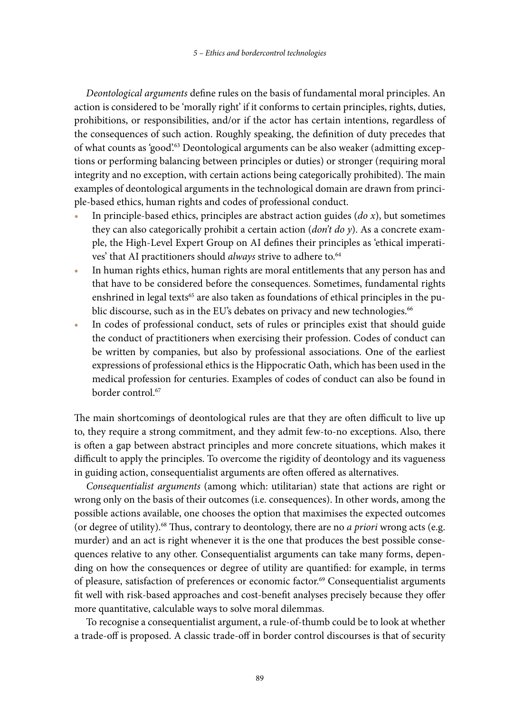*Deontological arguments* define rules on the basis of fundamental moral principles. An action is considered to be 'morally right' if it conforms to certain principles, rights, duties, prohibitions, or responsibilities, and/or if the actor has certain intentions, regardless of the consequences of such action. Roughly speaking, the definition of duty precedes that of what counts as 'good'.63 Deontological arguments can be also weaker (admitting exceptions or performing balancing between principles or duties) or stronger (requiring moral integrity and no exception, with certain actions being categorically prohibited). The main examples of deontological arguments in the technological domain are drawn from principle-based ethics, human rights and codes of professional conduct.

- **•** In principle-based ethics, principles are abstract action guides (*do x*), but sometimes they can also categorically prohibit a certain action (*don't do y*). As a concrete example, the High-Level Expert Group on AI defines their principles as 'ethical imperatives' that AI practitioners should *always* strive to adhere to.<sup>64</sup>
- **•** In human rights ethics, human rights are moral entitlements that any person has and that have to be considered before the consequences. Sometimes, fundamental rights enshrined in legal texts<sup>65</sup> are also taken as foundations of ethical principles in the public discourse, such as in the EU's debates on privacy and new technologies.<sup>66</sup>
- **•** In codes of professional conduct, sets of rules or principles exist that should guide the conduct of practitioners when exercising their profession. Codes of conduct can be written by companies, but also by professional associations. One of the earliest expressions of professional ethics is the Hippocratic Oath, which has been used in the medical profession for centuries. Examples of codes of conduct can also be found in border control.67

The main shortcomings of deontological rules are that they are often difficult to live up to, they require a strong commitment, and they admit few-to-no exceptions. Also, there is often a gap between abstract principles and more concrete situations, which makes it difficult to apply the principles. To overcome the rigidity of deontology and its vagueness in guiding action, consequentialist arguments are often offered as alternatives.

*Consequentialist arguments* (among which: utilitarian) state that actions are right or wrong only on the basis of their outcomes (i.e. consequences). In other words, among the possible actions available, one chooses the option that maximises the expected outcomes (or degree of utility).68 Thus, contrary to deontology, there are no *a priori* wrong acts (e.g. murder) and an act is right whenever it is the one that produces the best possible consequences relative to any other. Consequentialist arguments can take many forms, depending on how the consequences or degree of utility are quantified: for example, in terms of pleasure, satisfaction of preferences or economic factor.<sup>69</sup> Consequentialist arguments fit well with risk-based approaches and cost-benefit analyses precisely because they offer more quantitative, calculable ways to solve moral dilemmas.

To recognise a consequentialist argument, a rule-of-thumb could be to look at whether a trade-off is proposed. A classic trade-off in border control discourses is that of security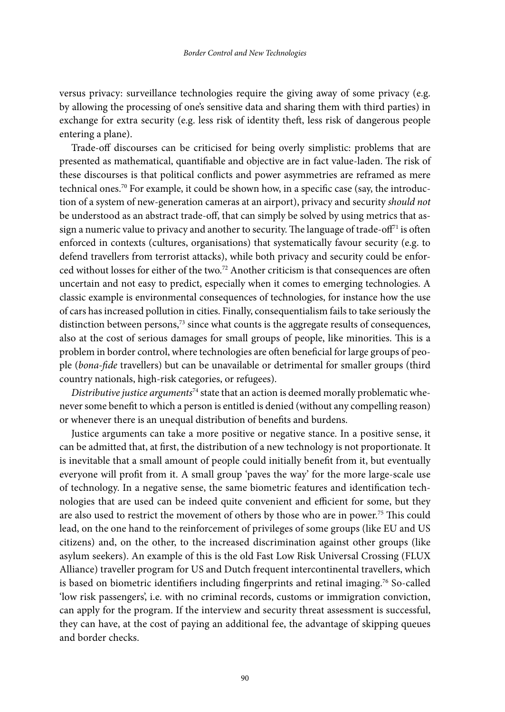versus privacy: surveillance technologies require the giving away of some privacy (e.g. by allowing the processing of one's sensitive data and sharing them with third parties) in exchange for extra security (e.g. less risk of identity theft, less risk of dangerous people entering a plane).

Trade-off discourses can be criticised for being overly simplistic: problems that are presented as mathematical, quantifiable and objective are in fact value-laden. The risk of these discourses is that political conflicts and power asymmetries are reframed as mere technical ones.70 For example, it could be shown how, in a specific case (say, the introduction of a system of new-generation cameras at an airport), privacy and security *should not*  be understood as an abstract trade-off, that can simply be solved by using metrics that assign a numeric value to privacy and another to security. The language of trade-off<sup>71</sup> is often enforced in contexts (cultures, organisations) that systematically favour security (e.g. to defend travellers from terrorist attacks), while both privacy and security could be enforced without losses for either of the two.<sup>72</sup> Another criticism is that consequences are often uncertain and not easy to predict, especially when it comes to emerging technologies. A classic example is environmental consequences of technologies, for instance how the use of cars has increased pollution in cities. Finally, consequentialism fails to take seriously the distinction between persons,<sup>73</sup> since what counts is the aggregate results of consequences, also at the cost of serious damages for small groups of people, like minorities. This is a problem in border control, where technologies are often beneficial for large groups of people (*bona-fide* travellers) but can be unavailable or detrimental for smaller groups (third country nationals, high-risk categories, or refugees).

*Distributive justice arguments*74 state that an action is deemed morally problematic whenever some benefit to which a person is entitled is denied (without any compelling reason) or whenever there is an unequal distribution of benefits and burdens.

Justice arguments can take a more positive or negative stance. In a positive sense, it can be admitted that, at first, the distribution of a new technology is not proportionate. It is inevitable that a small amount of people could initially benefit from it, but eventually everyone will profit from it. A small group 'paves the way' for the more large-scale use of technology. In a negative sense, the same biometric features and identification technologies that are used can be indeed quite convenient and efficient for some, but they are also used to restrict the movement of others by those who are in power.75 This could lead, on the one hand to the reinforcement of privileges of some groups (like EU and US citizens) and, on the other, to the increased discrimination against other groups (like asylum seekers). An example of this is the old Fast Low Risk Universal Crossing (FLUX Alliance) traveller program for US and Dutch frequent intercontinental travellers, which is based on biometric identifiers including fingerprints and retinal imaging.<sup>76</sup> So-called 'low risk passengers', i.e. with no criminal records, customs or immigration conviction, can apply for the program. If the interview and security threat assessment is successful, they can have, at the cost of paying an additional fee, the advantage of skipping queues and border checks.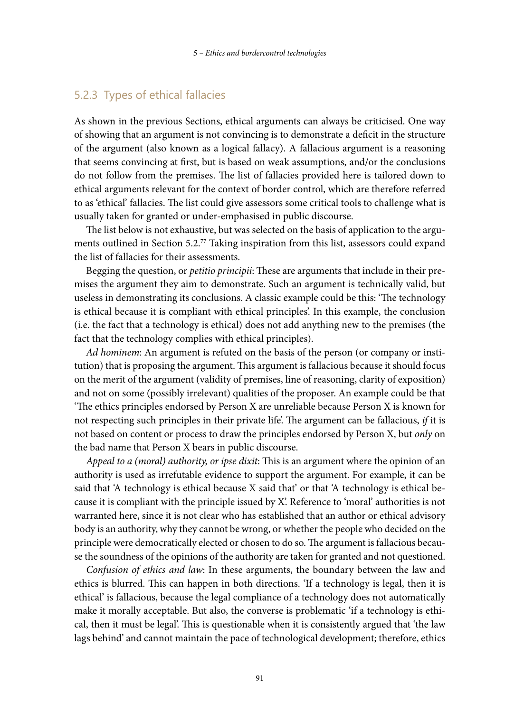#### 5.2.3 Types of ethical fallacies

As shown in the previous Sections, ethical arguments can always be criticised. One way of showing that an argument is not convincing is to demonstrate a deficit in the structure of the argument (also known as a logical fallacy). A fallacious argument is a reasoning that seems convincing at first, but is based on weak assumptions, and/or the conclusions do not follow from the premises. The list of fallacies provided here is tailored down to ethical arguments relevant for the context of border control, which are therefore referred to as 'ethical' fallacies. The list could give assessors some critical tools to challenge what is usually taken for granted or under-emphasised in public discourse.

The list below is not exhaustive, but was selected on the basis of application to the arguments outlined in Section 5.2.<sup>77</sup> Taking inspiration from this list, assessors could expand the list of fallacies for their assessments.

Begging the question, or *petitio principii*: These are arguments that include in their premises the argument they aim to demonstrate. Such an argument is technically valid, but useless in demonstrating its conclusions. A classic example could be this: 'The technology is ethical because it is compliant with ethical principles'. In this example, the conclusion (i.e. the fact that a technology is ethical) does not add anything new to the premises (the fact that the technology complies with ethical principles).

*Ad hominem*: An argument is refuted on the basis of the person (or company or institution) that is proposing the argument. This argument is fallacious because it should focus on the merit of the argument (validity of premises, line of reasoning, clarity of exposition) and not on some (possibly irrelevant) qualities of the proposer. An example could be that 'The ethics principles endorsed by Person X are unreliable because Person X is known for not respecting such principles in their private life'. The argument can be fallacious, *if* it is not based on content or process to draw the principles endorsed by Person X, but *only* on the bad name that Person X bears in public discourse.

*Appeal to a (moral) authority, or ipse dixit*: This is an argument where the opinion of an authority is used as irrefutable evidence to support the argument. For example, it can be said that 'A technology is ethical because X said that' or that 'A technology is ethical because it is compliant with the principle issued by X'. Reference to 'moral' authorities is not warranted here, since it is not clear who has established that an author or ethical advisory body is an authority, why they cannot be wrong, or whether the people who decided on the principle were democratically elected or chosen to do so. The argument is fallacious because the soundness of the opinions of the authority are taken for granted and not questioned.

*Confusion of ethics and law*: In these arguments, the boundary between the law and ethics is blurred. This can happen in both directions. 'If a technology is legal, then it is ethical' is fallacious, because the legal compliance of a technology does not automatically make it morally acceptable. But also, the converse is problematic 'if a technology is ethical, then it must be legal'. This is questionable when it is consistently argued that 'the law lags behind' and cannot maintain the pace of technological development; therefore, ethics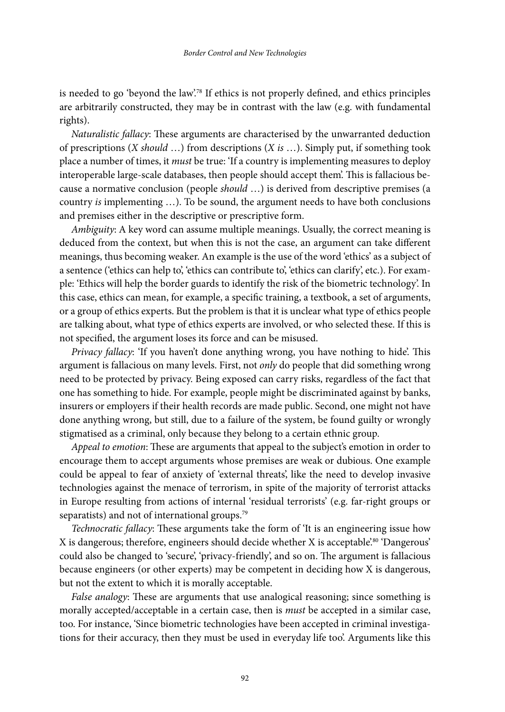is needed to go 'beyond the law'.78 If ethics is not properly defined, and ethics principles are arbitrarily constructed, they may be in contrast with the law (e.g. with fundamental rights).

*Naturalistic fallacy*: These arguments are characterised by the unwarranted deduction of prescriptions (*X should* …) from descriptions (*X is* …). Simply put, if something took place a number of times, it *must* be true: 'If a country is implementing measures to deploy interoperable large-scale databases, then people should accept them'. This is fallacious because a normative conclusion (people *should* …) is derived from descriptive premises (a country *is* implementing …). To be sound, the argument needs to have both conclusions and premises either in the descriptive or prescriptive form.

*Ambiguity*: A key word can assume multiple meanings. Usually, the correct meaning is deduced from the context, but when this is not the case, an argument can take different meanings, thus becoming weaker. An example is the use of the word 'ethics' as a subject of a sentence ('ethics can help to', 'ethics can contribute to', 'ethics can clarify', etc.). For example: 'Ethics will help the border guards to identify the risk of the biometric technology'. In this case, ethics can mean, for example, a specific training, a textbook, a set of arguments, or a group of ethics experts. But the problem is that it is unclear what type of ethics people are talking about, what type of ethics experts are involved, or who selected these. If this is not specified, the argument loses its force and can be misused.

*Privacy fallacy*: 'If you haven't done anything wrong, you have nothing to hide'. This argument is fallacious on many levels. First, not *only* do people that did something wrong need to be protected by privacy. Being exposed can carry risks, regardless of the fact that one has something to hide. For example, people might be discriminated against by banks, insurers or employers if their health records are made public. Second, one might not have done anything wrong, but still, due to a failure of the system, be found guilty or wrongly stigmatised as a criminal, only because they belong to a certain ethnic group.

*Appeal to emotion*: These are arguments that appeal to the subject's emotion in order to encourage them to accept arguments whose premises are weak or dubious. One example could be appeal to fear of anxiety of 'external threats', like the need to develop invasive technologies against the menace of terrorism, in spite of the majority of terrorist attacks in Europe resulting from actions of internal 'residual terrorists' (e.g. far-right groups or separatists) and not of international groups.<sup>79</sup>

*Technocratic fallacy*: These arguments take the form of 'It is an engineering issue how X is dangerous; therefore, engineers should decide whether X is acceptable.<sup>80</sup> 'Dangerous' could also be changed to 'secure', 'privacy-friendly', and so on. The argument is fallacious because engineers (or other experts) may be competent in deciding how X is dangerous, but not the extent to which it is morally acceptable.

*False analogy*: These are arguments that use analogical reasoning; since something is morally accepted/acceptable in a certain case, then is *must* be accepted in a similar case, too. For instance, 'Since biometric technologies have been accepted in criminal investigations for their accuracy, then they must be used in everyday life too'. Arguments like this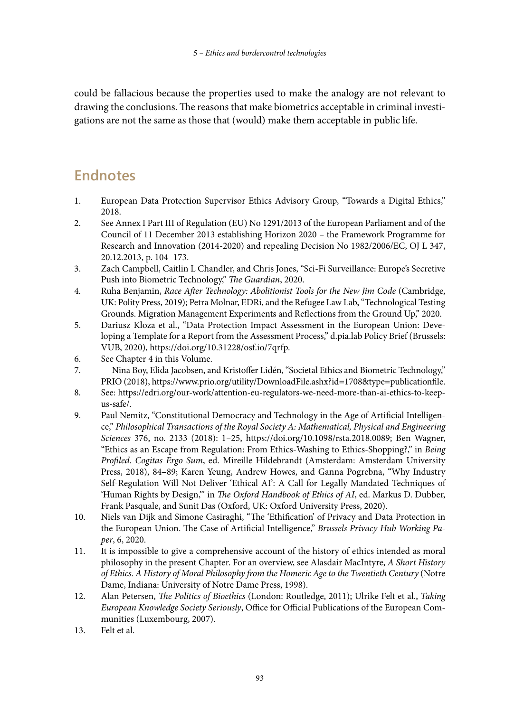could be fallacious because the properties used to make the analogy are not relevant to drawing the conclusions. The reasons that make biometrics acceptable in criminal investigations are not the same as those that (would) make them acceptable in public life.

## **Endnotes**

- 1. European Data Protection Supervisor Ethics Advisory Group, "Towards a Digital Ethics," 2018.
- 2. See Annex I Part III of Regulation (EU) No 1291/2013 of the European Parliament and of the Council of 11 December 2013 establishing Horizon 2020 – the Framework Programme for Research and Innovation (2014-2020) and repealing Decision No 1982/2006/EC, OJ L 347, 20.12.2013, p. 104–173.
- 3. Zach Campbell, Caitlin L Chandler, and Chris Jones, "Sci-Fi Surveillance: Europe's Secretive Push into Biometric Technology," *The Guardian*, 2020.
- 4. Ruha Benjamin, *Race After Technology: Abolitionist Tools for the New Jim Code* (Cambridge, UK: Polity Press, 2019); Petra Molnar, EDRi, and the Refugee Law Lab, "Technological Testing Grounds. Migration Management Experiments and Reflections from the Ground Up," 2020.
- 5. Dariusz Kloza et al., "Data Protection Impact Assessment in the European Union: Developing a Template for a Report from the Assessment Process," d.pia.lab Policy Brief (Brussels: VUB, 2020), [https://doi.org/10.31228/osf.io/7qrfp.](https://doi.org/10.31228/osf.io/7qrfp)
- 6. See Chapter 4 in this Volume.
- 7. Nina Boy, Elida Jacobsen, and Kristoffer Lidén, "Societal Ethics and Biometric Technology," PRIO (2018),<https://www.prio.org/utility/DownloadFile.ashx?id=1708&type=publicationfile>.
- 8. See: [https://edri.org/our-work/attention-eu-regulators-we-need-more-than-ai-ethics-to-keep](https://edri.org/our-work/attention-eu-regulators-we-need-more-than-ai-ethics-to-keep-us-safe/)[us-safe/.](https://edri.org/our-work/attention-eu-regulators-we-need-more-than-ai-ethics-to-keep-us-safe/)
- 9. Paul Nemitz, "Constitutional Democracy and Technology in the Age of Artificial Intelligence," *Philosophical Transactions of the Royal Society A: Mathematical, Physical and Engineering Sciences* 376, no. 2133 (2018): 1–25, <https://doi.org/10.1098/rsta.2018.0089>; Ben Wagner, "Ethics as an Escape from Regulation: From Ethics-Washing to Ethics-Shopping?," in *Being Profiled. Cogitas Ergo Sum*, ed. Mireille Hildebrandt (Amsterdam: Amsterdam University Press, 2018), 84–89; Karen Yeung, Andrew Howes, and Ganna Pogrebna, "Why Industry Self-Regulation Will Not Deliver 'Ethical AI': A Call for Legally Mandated Techniques of 'Human Rights by Design,'" in *The Oxford Handbook of Ethics of AI*, ed. Markus D. Dubber, Frank Pasquale, and Sunit Das (Oxford, UK: Oxford University Press, 2020).
- 10. Niels van Dijk and Simone Casiraghi, "The 'Ethification' of Privacy and Data Protection in the European Union. The Case of Artificial Intelligence," *Brussels Privacy Hub Working Paper*, 6, 2020.
- 11. It is impossible to give a comprehensive account of the history of ethics intended as moral philosophy in the present Chapter. For an overview, see Alasdair MacIntyre, *A Short History of Ethics. A History of Moral Philosophy from the Homeric Age to the Twentieth Century* (Notre Dame, Indiana: University of Notre Dame Press, 1998).
- 12. Alan Petersen, *The Politics of Bioethics* (London: Routledge, 2011); Ulrike Felt et al., *Taking European Knowledge Society Seriously*, Office for Official Publications of the European Communities (Luxembourg, 2007).
- 13. Felt et al.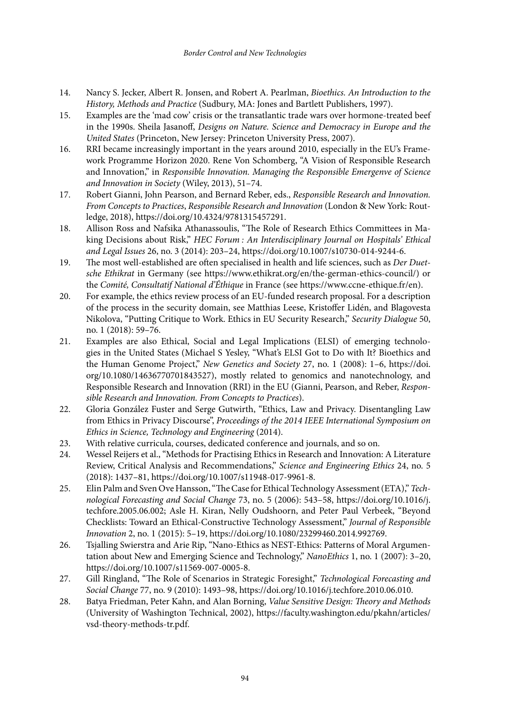- 14. Nancy S. Jecker, Albert R. Jonsen, and Robert A. Pearlman, *Bioethics. An Introduction to the History, Methods and Practice* (Sudbury, MA: Jones and Bartlett Publishers, 1997).
- 15. Examples are the 'mad cow' crisis or the transatlantic trade wars over hormone-treated beef in the 1990s. Sheila Jasanoff, *Designs on Nature. Science and Democracy in Europe and the United States* (Princeton, New Jersey: Princeton University Press, 2007).
- 16. RRI became increasingly important in the years around 2010, especially in the EU's Framework Programme Horizon 2020. Rene Von Schomberg, "A Vision of Responsible Research and Innovation," in *Responsible Innovation. Managing the Responsible Emergenve of Science and Innovation in Society* (Wiley, 2013), 51–74.
- 17. Robert Gianni, John Pearson, and Bernard Reber, eds., *Responsible Research and Innovation. From Concepts to Practices*, *Responsible Research and Innovation* (London & New York: Routledge, 2018), <https://doi.org/10.4324/9781315457291>.
- 18. Allison Ross and Nafsika Athanassoulis, "The Role of Research Ethics Committees in Making Decisions about Risk," *HEC Forum : An Interdisciplinary Journal on Hospitals' Ethical and Legal Issues* 26, no. 3 (2014): 203–24, [https://doi.org/10.1007/s10730-014-9244-6.](https://doi.org/10.1007/s10730-014-9244-6)
- 19. The most well-established are often specialised in health and life sciences, such as *Der Duetsche Ethikrat* in Germany (see <https://www.ethikrat.org/en/the-german-ethics-council/>) or the *Comité, Consultatif National d'Éthique* in France (see [https://www.ccne-ethique.fr/en\)](https://www.ccne-ethique.fr/en).
- 20. For example, the ethics review process of an EU-funded research proposal. For a description of the process in the security domain, see Matthias Leese, Kristoffer Lidén, and Blagovesta Nikolova, "Putting Critique to Work. Ethics in EU Security Research," *Security Dialogue* 50, no. 1 (2018): 59–76.
- 21. Examples are also Ethical, Social and Legal Implications (ELSI) of emerging technologies in the United States (Michael S Yesley, "What's ELSI Got to Do with It? Bioethics and the Human Genome Project," *New Genetics and Society* 27, no. 1 (2008): 1–6, [https://doi.](https://doi.org/10.1080/14636770701843527) [org/10.1080/14636770701843527\)](https://doi.org/10.1080/14636770701843527), mostly related to genomics and nanotechnology, and Responsible Research and Innovation (RRI) in the EU (Gianni, Pearson, and Reber, *Responsible Research and Innovation. From Concepts to Practices*).
- 22. Gloria González Fuster and Serge Gutwirth, "Ethics, Law and Privacy. Disentangling Law from Ethics in Privacy Discourse", *Proceedings of the 2014 IEEE International Symposium on Ethics in Science, Technology and Engineering* (2014).
- 23. With relative curricula, courses, dedicated conference and journals, and so on.
- 24. Wessel Reijers et al., "Methods for Practising Ethics in Research and Innovation: A Literature Review, Critical Analysis and Recommendations," *Science and Engineering Ethics* 24, no. 5 (2018): 1437–81, <https://doi.org/10.1007/s11948-017-9961-8>.
- 25. Elin Palm and Sven Ove Hansson, "The Case for Ethical Technology Assessment (ETA)," *Technological Forecasting and Social Change* 73, no. 5 (2006): 543–58, [https://doi.org/10.1016/j.](https://doi.org/10.1016/j.techfore.2005.06.002) [techfore.2005.06.002](https://doi.org/10.1016/j.techfore.2005.06.002); Asle H. Kiran, Nelly Oudshoorn, and Peter Paul Verbeek, "Beyond Checklists: Toward an Ethical-Constructive Technology Assessment," *Journal of Responsible Innovation* 2, no. 1 (2015): 5–19,<https://doi.org/10.1080/23299460.2014.992769>.
- 26. Tsjalling Swierstra and Arie Rip, "Nano-Ethics as NEST-Ethics: Patterns of Moral Argumentation about New and Emerging Science and Technology," *NanoEthics* 1, no. 1 (2007): 3–20, [https://doi.org/10.1007/s11569-007-0005-8.](https://doi.org/10.1007/s11569-007-0005-8)
- 27. Gill Ringland, "The Role of Scenarios in Strategic Foresight," *Technological Forecasting and Social Change* 77, no. 9 (2010): 1493–98,<https://doi.org/10.1016/j.techfore.2010.06.010>.
- 28. Batya Friedman, Peter Kahn, and Alan Borning, *Value Sensitive Design: Theory and Methods* (University of Washington Technical, 2002), [https://faculty.washington.edu/pkahn/articles/](https://faculty.washington.edu/pkahn/articles/vsd-theory-methods-tr.pdf) [vsd-theory-methods-tr.pdf.](https://faculty.washington.edu/pkahn/articles/vsd-theory-methods-tr.pdf)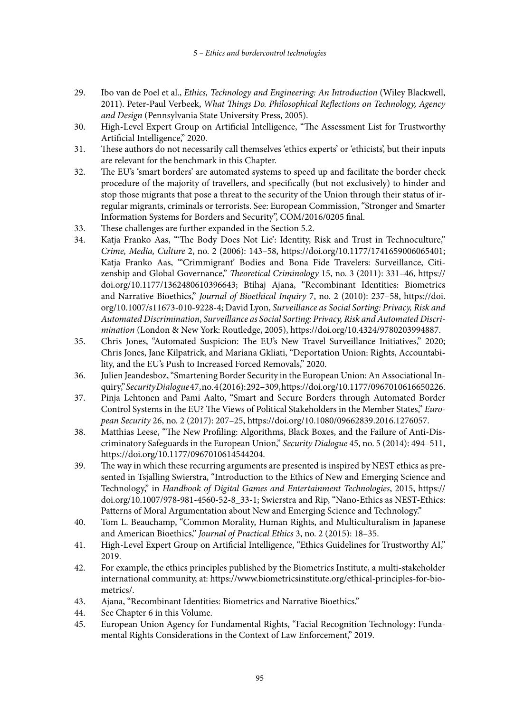- 29. Ibo van de Poel et al., *Ethics, Technology and Engineering: An Introduction* (Wiley Blackwell, 2011). Peter-Paul Verbeek, *What Things Do. Philosophical Reflections on Technology, Agency and Design* (Pennsylvania State University Press, 2005).
- 30. High-Level Expert Group on Artificial Intelligence, "The Assessment List for Trustworthy Artificial Intelligence," 2020.
- 31. These authors do not necessarily call themselves 'ethics experts' or 'ethicists', but their inputs are relevant for the benchmark in this Chapter.
- 32. The EU's 'smart borders' are automated systems to speed up and facilitate the border check procedure of the majority of travellers, and specifically (but not exclusively) to hinder and stop those migrants that pose a threat to the security of the Union through their status of irregular migrants, criminals or terrorists. See: European Commission, "Stronger and Smarter Information Systems for Borders and Security", COM/2016/0205 final.
- 33. These challenges are further expanded in the Section 5.2.
- 34. Katja Franko Aas, "'The Body Does Not Lie': Identity, Risk and Trust in Technoculture," *Crime, Media, Culture* 2, no. 2 (2006): 143–58, <https://doi.org/10.1177/1741659006065401>; Katja Franko Aas, "'Crimmigrant' Bodies and Bona Fide Travelers: Surveillance, Citizenship and Global Governance," *Theoretical Criminology* 15, no. 3 (2011): 331–46, [https://](https://doi.org/10.1177/1362480610396643) [doi.org/10.1177/1362480610396643](https://doi.org/10.1177/1362480610396643); Btihaj Ajana, "Recombinant Identities: Biometrics and Narrative Bioethics," *Journal of Bioethical Inquiry* 7, no. 2 (2010): 237–58, [https://doi.](https://doi.org/10.1007/s11673-010-9228-4) [org/10.1007/s11673-010-9228-4](https://doi.org/10.1007/s11673-010-9228-4); David Lyon, *Surveillance as Social Sorting: Privacy, Risk and Automated Discrimination*, *Surveillance as Social Sorting: Privacy, Risk and Automated Discrimination* (London & New York: Routledge, 2005), [https://doi.org/10.4324/9780203994887.](https://doi.org/10.4324/9780203994887)
- 35. Chris Jones, "Automated Suspicion: The EU's New Travel Surveillance Initiatives," 2020; Chris Jones, Jane Kilpatrick, and Mariana Gkliati, "Deportation Union: Rights, Accountability, and the EU's Push to Increased Forced Removals," 2020.
- 36. Julien Jeandesboz, "Smartening Border Security in the European Union: An Associational Inquiry," *Security Dialogue* 47, no. 4 (2016): 292–309,<https://doi.org/10.1177/0967010616650226>.
- 37. Pinja Lehtonen and Pami Aalto, "Smart and Secure Borders through Automated Border Control Systems in the EU? The Views of Political Stakeholders in the Member States," *European Security* 26, no. 2 (2017): 207–25, [https://doi.org/10.1080/09662839.2016.1276057.](https://doi.org/10.1080/09662839.2016.1276057)
- 38. Matthias Leese, "The New Profiling: Algorithms, Black Boxes, and the Failure of Anti-Discriminatory Safeguards in the European Union," *Security Dialogue* 45, no. 5 (2014): 494–511, [https://doi.org/10.1177/0967010614544204](https://doi.org/10.1177/09670106145442﻿﻿﻿﻿﻿﻿04).
- 39. The way in which these recurring arguments are presented is inspired by NEST ethics as presented in Tsjalling Swierstra, "Introduction to the Ethics of New and Emerging Science and Technology," in *Handbook of Digital Games and Entertainment Technologies*, 2015, [https://](https://doi.org/10.1007/978-981-4560-52-8_33-1) [doi.org/10.1007/978-981-4560-52-8\\_33-1;](https://doi.org/10.1007/978-981-4560-52-8_33-1) Swierstra and Rip, "Nano-Ethics as NEST-Ethics: Patterns of Moral Argumentation about New and Emerging Science and Technology."
- 40. Tom L. Beauchamp, "Common Morality, Human Rights, and Multiculturalism in Japanese and American Bioethics," *Journal of Practical Ethics* 3, no. 2 (2015): 18–35.
- 41. High-Level Expert Group on Artificial Intelligence, "Ethics Guidelines for Trustworthy AI," 2019.
- 42. For example, the ethics principles published by the Biometrics Institute, a multi-stakeholder international community, at: [https://www.biometricsinstitute.org/ethical-principles-for-bio](https://www.biometricsinstitute.org/ethical-principles-for-biometrics/)[metrics/](https://www.biometricsinstitute.org/ethical-principles-for-biometrics/).
- 43. Ajana, "Recombinant Identities: Biometrics and Narrative Bioethics."
- 44. See Chapter 6 in this Volume.
- 45. European Union Agency for Fundamental Rights, "Facial Recognition Technology: Fundamental Rights Considerations in the Context of Law Enforcement," 2019.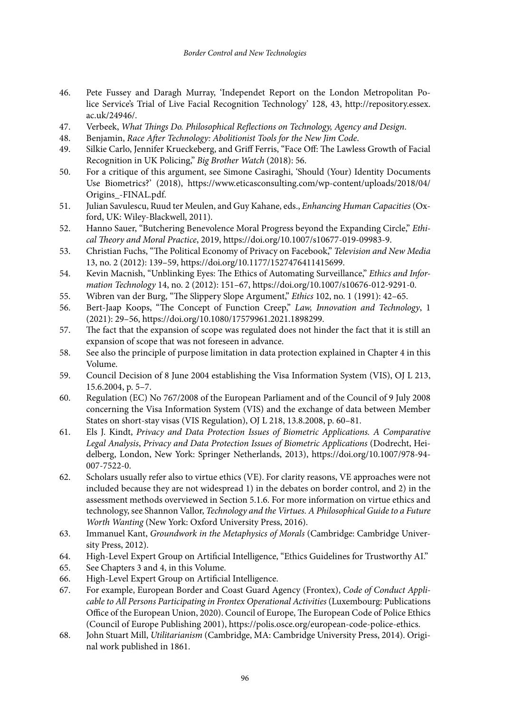- 46. Pete Fussey and Daragh Murray, 'Independet Report on the London Metropolitan Police Service's Trial of Live Facial Recognition Technology' 128, 43, [http://repository.essex.](http://repository.essex.ac.uk/24946/) [ac.uk/24946/.](http://repository.essex.ac.uk/24946/)
- 47. Verbeek, *What Things Do. Philosophical Reflections on Technology, Agency and Design*.
- 48. Benjamin, *Race After Technology: Abolitionist Tools for the New Jim Code*.
- 49. Silkie Carlo, Jennifer Krueckeberg, and Griff Ferris, "Face Off: The Lawless Growth of Facial Recognition in UK Policing," *Big Brother Watch* (2018): 56.
- 50. For a critique of this argument, see Simone Casiraghi, 'Should (Your) Identity Documents Use Biometrics?' (2018), [https://www.eticasconsulting.com/wp-content/uploads/2018/04/](https://www.eticasconsulting.com/wp-content/uploads/2018/04/Origins_-FINAL.pdf) [Origins\\_-FINAL.pdf.](https://www.eticasconsulting.com/wp-content/uploads/2018/04/Origins_-FINAL.pdf)
- 51. Julian Savulescu, Ruud ter Meulen, and Guy Kahane, eds., *Enhancing Human Capacities* (Oxford, UK: Wiley-Blackwell, 2011).
- 52. Hanno Sauer, "Butchering Benevolence Moral Progress beyond the Expanding Circle," *Ethical Theory and Moral Practice*, 2019,<https://doi.org/10.1007/s10677-019-09983-9>.
- 53. Christian Fuchs, "The Political Economy of Privacy on Facebook," *Television and New Media* 13, no. 2 (2012): 139–59, <https://doi.org/10.1177/1527476411415699>.
- 54. Kevin Macnish, "Unblinking Eyes: The Ethics of Automating Surveillance," *Ethics and Information Technology* 14, no. 2 (2012): 151–67, [https://doi.org/10.1007/s10676-012-9291-0.](https://doi.org/10.1007/s10676-012-9291-0)
- 55. Wibren van der Burg, "The Slippery Slope Argument," *Ethics* 102, no. 1 (1991): 42–65.
- 56. Bert-Jaap Koops, "The Concept of Function Creep," *Law, Innovation and Technology*, 1 (2021): 29–56, [https://doi.org/10.1080/17579961.2021.1898299.](https://doi.org/10.1080/17579961.2021.1898299)
- 57. The fact that the expansion of scope was regulated does not hinder the fact that it is still an expansion of scope that was not foreseen in advance.
- 58. See also the principle of purpose limitation in data protection explained in Chapter 4 in this Volume.
- 59. Council Decision of 8 June 2004 establishing the Visa Information System (VIS), OJ L 213, 15.6.2004, p. 5–7.
- 60. Regulation (EC) No 767/2008 of the European Parliament and of the Council of 9 July 2008 concerning the Visa Information System (VIS) and the exchange of data between Member States on short-stay visas (VIS Regulation), OJ L 218, 13.8.2008, p. 60–81.
- 61. Els J. Kindt, *Privacy and Data Protection Issues of Biometric Applications. A Comparative Legal Analysis*, *Privacy and Data Protection Issues of Biometric Applications* (Dodrecht, Heidelberg, London, New York: Springer Netherlands, 2013), [https://doi.org/10.1007/978-94-](https://doi.org/10.1007/978-94-007-7522-0) [007-7522-0](https://doi.org/10.1007/978-94-007-7522-0).
- 62. Scholars usually refer also to virtue ethics (VE). For clarity reasons, VE approaches were not included because they are not widespread 1) in the debates on border control, and 2) in the assessment methods overviewed in Section 5.1.6. For more information on virtue ethics and technology, see Shannon Vallor, *Technology and the Virtues. A Philosophical Guide to a Future Worth Wanting* (New York: Oxford University Press, 2016).
- 63. Immanuel Kant, *Groundwork in the Metaphysics of Morals* (Cambridge: Cambridge University Press, 2012).
- 64. High-Level Expert Group on Artificial Intelligence, "Ethics Guidelines for Trustworthy AI."
- 65. See Chapters 3 and 4, in this Volume.
- 66. High-Level Expert Group on Artificial Intelligence.
- 67. For example, European Border and Coast Guard Agency (Frontex), *Code of Conduct Applicable to All Persons Participating in Frontex Operational Activities* (Luxembourg: Publications Office of the European Union, 2020). Council of Europe, The European Code of Police Ethics (Council of Europe Publishing 2001),<https://polis.osce.org/european-code-police-ethics>.
- 68. John Stuart Mill, *Utilitarianism* (Cambridge, MA: Cambridge University Press, 2014). Original work published in 1861.